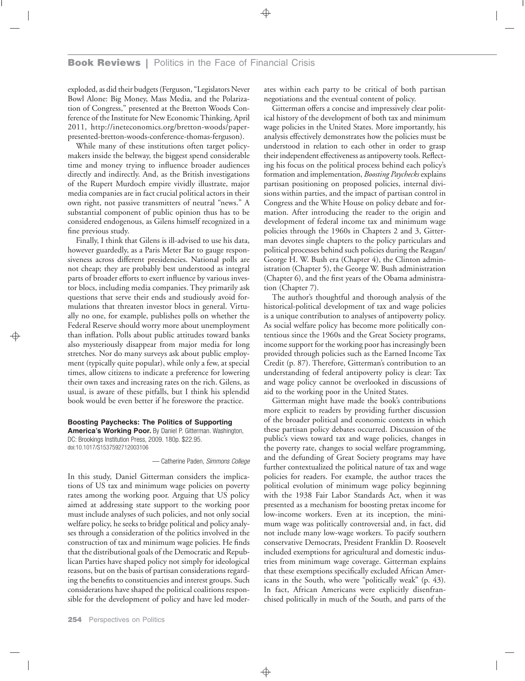exploded, as did their budgets (Ferguson, "Legislators Never Bowl Alone: Big Money, Mass Media, and the Polarization of Congress," presented at the Bretton Woods Conference of the Institute for New Economic Thinking, April 2011, http://ineteconomics.org/bretton-woods/paperpresented-bretton-woods-conference-thomas-ferguson).

While many of these institutions often target policymakers inside the beltway, the biggest spend considerable time and money trying to influence broader audiences directly and indirectly. And, as the British investigations of the Rupert Murdoch empire vividly illustrate, major media companies are in fact crucial political actors in their own right, not passive transmitters of neutral "news." A substantial component of public opinion thus has to be considered endogenous, as Gilens himself recognized in a fine previous study.

Finally, I think that Gilens is ill-advised to use his data, however guardedly, as a Paris Meter Bar to gauge responsiveness across different presidencies. National polls are not cheap; they are probably best understood as integral parts of broader efforts to exert influence by various investor blocs, including media companies. They primarily ask questions that serve their ends and studiously avoid formulations that threaten investor blocs in general. Virtually no one, for example, publishes polls on whether the Federal Reserve should worry more about unemployment than inflation. Polls about public attitudes toward banks also mysteriously disappear from major media for long stretches. Nor do many surveys ask about public employment (typically quite popular), while only a few, at special times, allow citizens to indicate a preference for lowering their own taxes and increasing rates on the rich. Gilens, as usual, is aware of these pitfalls, but I think his splendid book would be even better if he foreswore the practice.

**Boosting Paychecks: The Politics of Supporting America's Working Poor.** By Daniel P. Gitterman. Washington, DC: Brookings Institution Press, 2009. 180p. \$22.95.

doi:10.1017/S1537592712003106

— Catherine Paden, *Simmons College*

In this study, Daniel Gitterman considers the implications of US tax and minimum wage policies on poverty rates among the working poor. Arguing that US policy aimed at addressing state support to the working poor must include analyses of such policies, and not only social welfare policy, he seeks to bridge political and policy analyses through a consideration of the politics involved in the construction of tax and minimum wage policies. He finds that the distributional goals of the Democratic and Republican Parties have shaped policy not simply for ideological reasons, but on the basis of partisan considerations regarding the benefits to constituencies and interest groups. Such considerations have shaped the political coalitions responsible for the development of policy and have led moderates within each party to be critical of both partisan negotiations and the eventual content of policy.

Gitterman offers a concise and impressively clear political history of the development of both tax and minimum wage policies in the United States. More importantly, his analysis effectively demonstrates how the policies must be understood in relation to each other in order to grasp their independent effectiveness as antipoverty tools. Reflecting his focus on the political process behind each policy's formation and implementation, *Boosting Paychecks*explains partisan positioning on proposed policies, internal divisions within parties, and the impact of partisan control in Congress and the White House on policy debate and formation. After introducing the reader to the origin and development of federal income tax and minimum wage policies through the 1960s in Chapters 2 and 3, Gitterman devotes single chapters to the policy particulars and political processes behind such policies during the Reagan/ George H. W. Bush era (Chapter 4), the Clinton administration (Chapter 5), the George W. Bush administration (Chapter 6), and the first years of the Obama administration (Chapter 7).

The author's thoughtful and thorough analysis of the historical-political development of tax and wage policies is a unique contribution to analyses of antipoverty policy. As social welfare policy has become more politically contentious since the 1960s and the Great Society programs, income support for the working poor has increasingly been provided through policies such as the Earned Income Tax Credit (p. 87). Therefore, Gitterman's contribution to an understanding of federal antipoverty policy is clear: Tax and wage policy cannot be overlooked in discussions of aid to the working poor in the United States.

Gitterman might have made the book's contributions more explicit to readers by providing further discussion of the broader political and economic contexts in which these partisan policy debates occurred. Discussion of the public's views toward tax and wage policies, changes in the poverty rate, changes to social welfare programming, and the defunding of Great Society programs may have further contextualized the political nature of tax and wage policies for readers. For example, the author traces the political evolution of minimum wage policy beginning with the 1938 Fair Labor Standards Act, when it was presented as a mechanism for boosting pretax income for low-income workers. Even at its inception, the minimum wage was politically controversial and, in fact, did not include many low-wage workers. To pacify southern conservative Democrats, President Franklin D. Roosevelt included exemptions for agricultural and domestic industries from minimum wage coverage. Gitterman explains that these exemptions specifically excluded African Americans in the South, who were "politically weak" (p. 43). In fact, African Americans were explicitly disenfranchised politically in much of the South, and parts of the